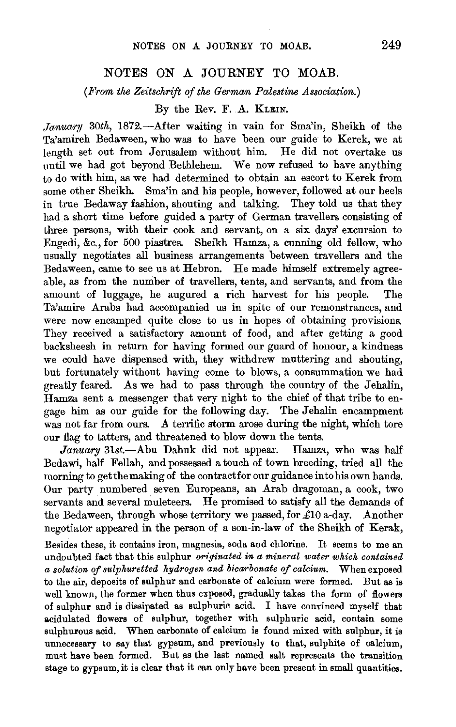## NOTES ON A JOURNEY TO MOAB.

*(From the Zeitschrift of the German Palestine Association.)* 

By the Rev. F. A. KLEIN.

*January* 30th, 1872.--After waiting in vain for Sma'in, Sheikh of the Ta'amireh Bedaween, who was to have been our guide to Kerek, we at length set out from Jerusalem without him. He did not overtake us until we had got beyond Bethlehem. We now refused to have anything to do with him, as we had determined to obtain an escort to Kerek from some other Sheikh. Sma'in and his people, however, followed at our heels in true Bedaway fashion, shouting and talking. They told us that they had a short time before guided a party of German travellers consisting of three persons, with their cook and servant, on a six days' excursion to Engedi, &c., for 500 piastres. Sheikh Hamza, a cunning old fellow, who usually negotiates all business arrangements between travellers and the Bedaween, came to see us at Hebron. He made himself extremely agreeable, as from the number of travellers, tents, and servants, and from the amount of luggage, he augured a rich harvest for his people. The Ta'amire Arabs had accompanied us in spite of our remonstrances, and were now encamped quite close to us in hopes of obtaining provisions. They received a satisfactory amount of food, and after getting a good backsheesh in return for having formed our guard of honour, a kindness we could have dispensed with, they withdrew muttering and shouting, but fortunately without having come to blows, a consummation we had greatly feared. As we had to pass through the country of the Jehalin, Hamza sent a messenger that very night to the chief of that tribe to engage him as our guide for the following day. The Jehalin encampment was not far from ours. A terrific storm arose during the night, which tore our flag to tatters, and threatened to blow down the tents.

January 31st.-Abu Dahuk did not appear. Hamza, who was half Bedawi, half Fellah, and possessed a touch of town breeding, tried all the morning to get the making of the contract for our guidance into his own hands. Our party numbered seven Europeans, an Arab dragoman, a cook, two servants and several muleteers. He promised to satisfy all the demands of the Bedaween, through whose territory we passed, for £10 a-day. Another negotiator appeared in the person of a son-in-law of the Sheikh of Kerak,

Besides these, it contains iron, magnesia, soda and chlorine. It seems to me an undoubted fact that this sulphur *or'iginated in a mineral water which contained a solution of sulphuretted hydrogen and bicarbonate of calcium.* When exposed to the air, deposits of sulphur and carbonate of calcium were formed. But as is well known, the former when thus exposed, gradually takes the form of flowers of sulphur and is dissipated as sulphuric acid. I have conyinced myself that acidulated flowers of sulphur, together with sulphuric acid, contain some sulphurous acid. When carbonate of calcium is found mixed with sulphur, it is unnecessary to say that gypsum, and previously to that, sulphite of calcium, must have been formed. But as the last named salt represents the transition stage to gypsum, it is clear that it can only have been present in small quantities.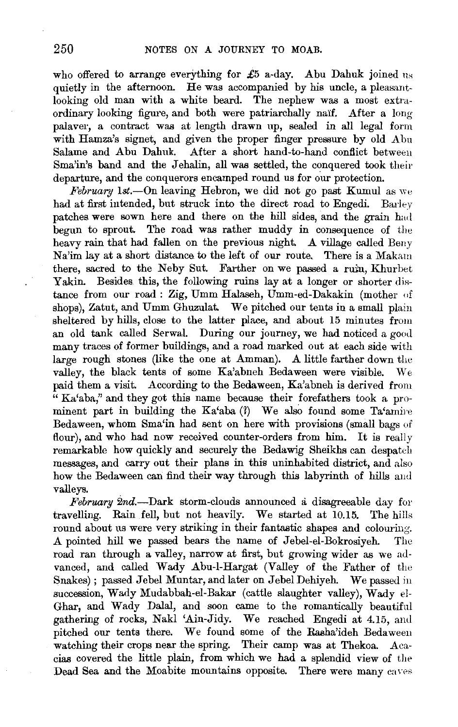who offered to arrange everything for  $£5$  a-day. Abu Dahuk joined us quietly in the afternoon. He was accompanied by his uncle, a pleasantlooking old man with a white beard. The nephew was a most extraordinary looking figure, and both were patriarchally naif. After a long palaver, a contract was at length drawn up, sealed in all legal form with Hamza's signet, and given the proper finger pressure by old Abu Salame and Abu Dahuk. After a short hand-to-hand conflict between Sma'in's band and the Jehalin, all was settled, the conquered took their departure, and the conquerors encamped round us for our protection.

February 1st.--On leaving Hebron, we did not go past Kumul as we had at first intended, but struck into the direct road to Engedi. Barley patches were sown here and there on the hill sides, and the grain had begun to sprout. The road was rather muddy in consequence of the heavy rain that had fallen on the previous night. A village called Beny Na'im lay at a short distance to the left of our route. There is a Makam there, sacred to the Neby Sut. Farther on we passed a ruin, Khurbet Yakin. Besides this, the following ruins lay at a longer or shorter distance from our road: Zig, Umm Halaseh, Umm-ed-Dakakin (mother of shops), Zatut, and Umm Ghuzulat. We pitched our tents in a small plain sheltered by hills, close to the latter place, and about 15 minutes from an old tank called Serwal. During our journey, we had noticed a good many traces of former buildings, and a road marked out at each side with large rough stones (like the one at Amman). A little farther down the valley, the black tents of some Ka'abneh Bedaween were visible. We paid them a visit. According to the Bedaween, Ka'abneh is derived from  $\cdot^{\alpha}$  Ka'aba," and they got this name because their forefathers took a prominent part in building the Ka'aba  $(?)$  We also found some Ta'amire Bedaween, whom Sma'in had sent on here with provisions (small bags of flour), and who had now received counter-orders from him. It is really remarkable how quickly and securely the Bedawig Sheikhs can despateh messages, and carry out their plans in this uninhabited district, and also how the Bedaween can find their way through this labyrinth of hills and valleys.

*February* 2nd.-Dark storm-clouds announced a disagreeable day for travelling. Rain fell, but not heavily. We started at 10.15. The hills round about us were very striking in their fantastic shapes and colouring. A pointed hill we passed bears the name of Jebel-el-Bokrosiyeh. The road ran through a valley, narrow at first, but growing wider as we advanced, and called Wady Abu-1-Hargat (Valley of the Father of the Snakes); passed Jebel Muntar, and later on Jebel Dehiyeh. We passed in succession, Wady Mudabbah-el-Bakar (cattle slaughter valley), Wady el-Ghar, and Wady Dalal, and soon came to the romantically beautiful gathering of rocks, Nakl 'Ain-Jidy. We reached Engedi at 4.15, and pitched our tents there. We found some of the Rasha'ideh Bedaweeu watching their crops near the spring. Their camp was at Thekoa. Acacias covered the little plain, from which we had a splendid view of the Dead Sea and the Moabite mountains opposite. There were many eaves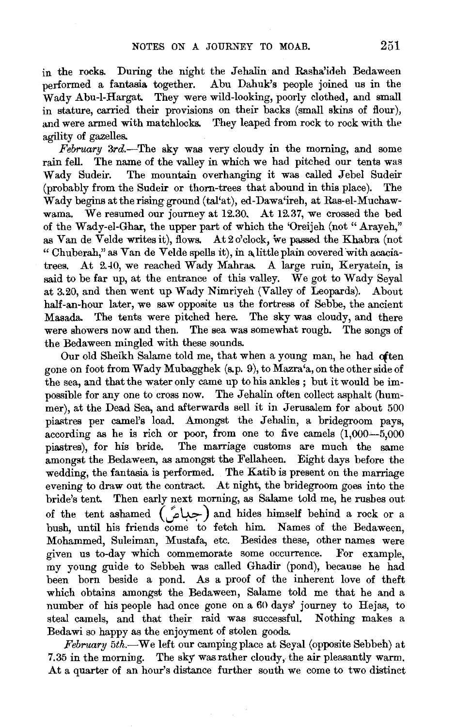in the rocks. During the night the Jehalin and Rasha'ideh Bedaween performed a fantasia together. Abu Dahuk's people joined us in the Wady Abu-1-Hargat. They were wild-looking, poorly clothed, and small in stature, carried their provisions on their backs (small skins of flour), and were armed with matchlocks. They leaped from rock to rock with the agility of gazelles.

*February* 3rd.-The sky was very cloudy in the morning, and some rain fell. The name of the valley in which we had pitched our tents was Wady Sudeir. The mountain overhanging it was called Jebel Sudeir (probably from the Sudeir or thorn-trees that abound in this place). The Wady begins attherisingground (tal'at), ed-Dawa'ireh, at Ras-el-Muchawwama. We resumed our journey at 12.30. At 12.37, we crossed the bed of the Wady-el-Ghar, the upper part of which the 'Oreijeh (not" Arayeh," as Van de Velde writes it), flows. At 2 o'clock, we passed the Khabra (not "Chuberah," as Van de Velde spells it), in a little plain covered with acaciatrees. At 2.40, we reached Wady Mahras. A large ruin, Keryatein, is said to be far up, at the entrance of this valley. We got to Wady Seyal at 3.20, and then went up Wady Nimriyeh (Valley of Leopards). About half-an-hour later, we saw opposite us the fortress of Sebbe, the ancient Masada. The tents were pitched here. The sky was cloudy, and there were showers now and then. The sea was somewhat rough. The songs of the Bedaween mingled with these sounds.

Our old Sheikh Salame told me, that when a young man, he had often gone on foot from Wady Mubagghek (s.p. 9), to Mazra'a, on the other side of the sea, and that the water only came up to his ankles ; but it would be impossible for any one to cross now. The Jehalin often collect asphalt (hummer), at the Dead Sea, and afterwards sell it in Jerusalem for about 500 piastres per camel's load. Amongst the Jehalin, a bridegroom pays,  $\frac{1}{\text{according}}$  as he is rich or poor, from one to five camels  $(1.000 - 5.000)$ piastres), for his bride. The marriage customs are much the same amongst the Bedaween, as amongst the Fellaheen. Eight days before the wedding, the fantasia is performed. The Katib is present on the marriage evening to draw out the contract. At night, the bridegroom goes into the bride's tent. Then early next morning, as Salame told me, he rushes out of the tent ashamed  $(\infty)$  and hides himself behind a rock or a bush, until his friends come to fetch him. Names of the Bedaween, Mohammed, Suleiman, Mustafa, etc. Besides these, other names were given us to-day which commemorate some occurrence. For example, my young guide to Sebbeh was called Ghadir (pond), because he had been born beside a pond. As a proof of the inherent love of theft which obtains amongst the Bedaween, Salame told me that he and a number of his people had once gone on a 60 days' journey to Hejas, to steal camels, and that their raid was successful. Nothing makes a Bedawi so happy as the enjoyment of stolen goods.

*February 5th.-*We left our camping place at Seyal (opposite Sebbeh) at 7.35 in the morning. The sky' was rather cloudy, the air pleasantly warm. At a quarter of an hour's distance further south we come to two distinct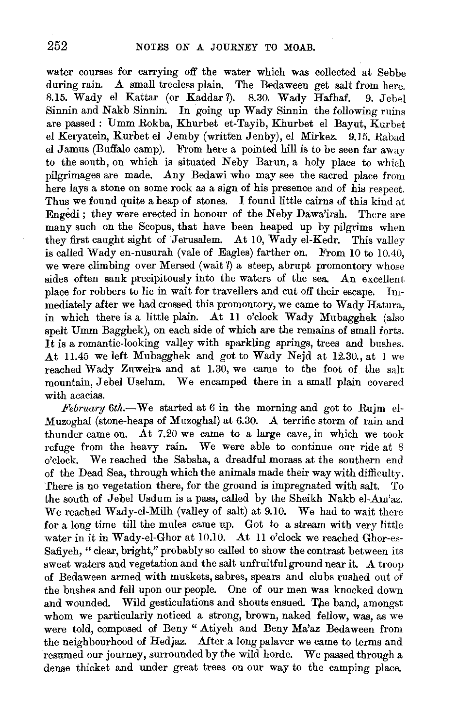water courses for carrying off the water which was collected at Sebbe during rain. A small treeless plain. The Bedaween get salt from here. 13.15. Wady el Kattar (or Kaddar?). 8.30. Wady Hafhaf. 9. Jebel  $S$ innin and Nakb Sinnin. In going up Wady Sinnin the following ruins are passed: Umm Rokba, Khurbet et-Tayib, Khurbet el Bayut, Kurbet el Keryatein, Kurbet el Jemby (written Jenby), el Mirkez. 9.15. Rabad el Jamus (Buffalo camp). From here a pointed hill is to be seen far away to the south, on which is situated Neby Barun, a holy place to which pilgrimages are made. Any Bedawi who may see the sacred place from here lays a stone on some rock as a sign of his presence and of his respect. Thus we found quite a heap of stones. I found little cairns of this kind at Engedi; they were erected in honour of the Neby Dawa'irsh. There are many such on the Scopus, that have been heaped up by pilgrims when they first caught sight of Jerusalem. At 10, Wady el-Kedr. This valley is called Wady en-nusurah (vale of Eagles) farther on. From 10 to 10.40, we were climbing over Mersed (wait ?) a steep, abrupt promontory whose sides often sank precipitously into the waters of the sea. An excellent. place for robbers to lie in wait for travellers and cut off their escape. Immediately after we had crossed this promontory, we came to Wady Hatura, in which there is a little plain. At 11 o'clock Wady Mubagghek  $(a_{\text{iso}})$ spelt Umm Bagghek), on each side of which are the remains of small forts. It is a romantic-looking valley with sparkling springs, trees and bushes. At 11.45 we left Mubagghek and got to Wady Nejd at 12.30., at 1 we reached Wady Znweira and at 1.30, we came to the foot of the salt mountain, Jebel Uselum. We encamped there in a small plain covered with acacias.

*February 6th.-*We started at 6 in the morning and got to Rujm el-Muzoghal (stone-heaps of Muzoghal) at 6.30. A terrific storm of rain and thunder came on. At 7.20 we came to a large cave, in which we took refuge from the heavy rain. We were able to continue our ride at 8 o'clock. We reached the Sabsha, a dreadful morass at the southern end of the Dead Sea, through which the animals made their way with difficulty. There is no vegetation there, for the ground is impregnated with salt. To the south of Jebel Usdum is a pass, called by the Sheikh Nakb el-Am'az. We reached Wady-el-Milh (valley of salt) at 9.10. We had to wait there for a long time till the mules came up. Got to a stream with very little water in it in Wady-el-Ghor at 10.10. At 11 o'clock we reached Ghor-es-Safiyeh, "clear, bright," probably so called to show the contrast between its sweet waters and vegetation and the salt unfruitful ground near it. A troop of Bedaween armed with muskets, sabres, spears and clubs rushed out of the bushes and fell upon our people. One of our men was knocked down and wounded. Wild gesticulations and shouts ensued. The band, amongst whom we particularly noticed a strong, brown, naked fellow, was, as we were to be to composed of Beny " Atiyah and Beny Ma'az Bedaween from the neighbourhood of Hedjaz. After a long palaver we came to terms and resumed our journey, surrounded by the wild horde. We passed through a dense thicket and under great trees on our way to the camping place.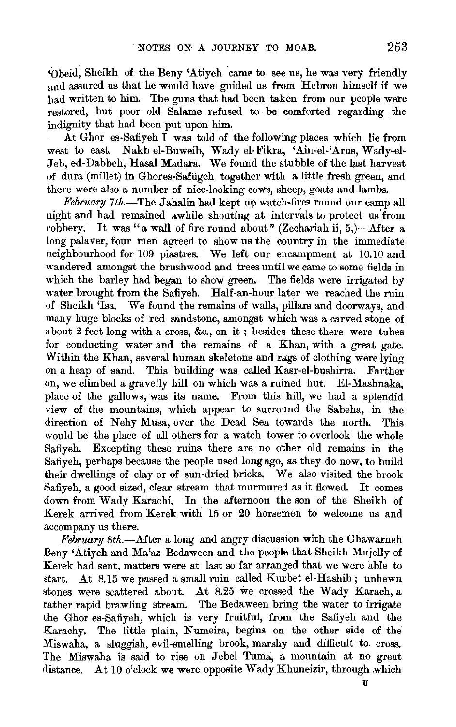'Obeid, Sheikh of the Beny 'Atiyeh came to see us, he was very friendly and assured us that he would have guided us from Hebron himself if we had written to him. The guns that had been taken from our people were restored, but poor old Salame refused to be comforted regarding the indignity that had been put upon him.

At Ghor es-Safiyeh I was told of the following places which lie from west to east. Nakb el-Buweib, Wady el-Fikra, 'Ain-el-'Arus, Wady-el-Jeb, ed-Dabbeh, Hasal Madara. We found the stubble of the last harvest of dura (millet) in Ghores-Safiigeh together with a little fresh green, and there were also a number of nice-looking cows, sheep, goats and lambs.

*February 7th.*—The Jahalin had kept up watch-fires round our camp all night and had remained awhile shouting at intervals to protect us from robbery. It was "a wall of fire round about" (Zechariah ii, 5,)-After a long palaver, four men agreed to show us the country in the immediate neighbourhood for 109 piastres. We left our encampment at 10.10 and wandered amongst the brushwood and trees until we came to some fields in which the barley had began to show green. The fields were irrigated by water brought from the Safiyeh. Half-an-hour later we reached the ruin of Sheikh 'Isa. We found the remains of walls, pillars and doorways, and many huge blocks of red sandstone, amongst which was a carved stone of about 2 feet long with a cross, &c., on it ; besides these there were tubes for conducting water and the remains of a Khan, with a great gate. Within the Khan, several human skeletons and rags of clothing were lying on a heap of sand. This building was called Kasr-el-bushirra. Farther on, we climbed a gravelly hill on which was a ruined hut. El-Mashnaka, place of the gallows, was its name. From this hill, we had a splendid view of the mountains, which appear to surround the Sabeha, in the direction of Nehy Musa, over the Dead Sea towards the north. This would be the place of all others for a watch tower to overlook the whole Safiyeh. Excepting these ruins there are no other old remains in the Safiyeh, perhaps because the people used long ago, as they do now, to build their dwellings of clay or of sun-dried bricks. We also visited the brook Safiyeh, a good sized, clear stream that murmured as it flowed. It comes down from Wady Karachi. In the afternoon the son of the Sheikh of Kerek arrived from Kerek with 15 or 20 horsemen to welcome us and accompany us there.

*February 8th.-*After a long and angry discussion with the Ghawarneh Beny 'Atiyeh and Ma'az Bedaween and the people that Sheikh Mujelly of Kerek had sent, matters were at last so far arranged that we were able to start. At 8.15 we passed a small ruin called Kurbet el-Hashib; unhewn stones were scattered about. At 8.25 we crossed the Wady Karach, a rather rapid brawling stream. The Bedaween bring the water to irrigate the Ghor es-Safiyeh, which is very fruitful, from the Safiyeh and the Karachy. The little plain, Numeira, begins on the other side of the Miswaha, a sluggish, evil-smelling brook, marshy and difficult to cross. The Miswaha is said to rise on Jebel Tuma, a mountain at no great distance. At 10 o'clock we were opposite Wady Khuneizir, through .which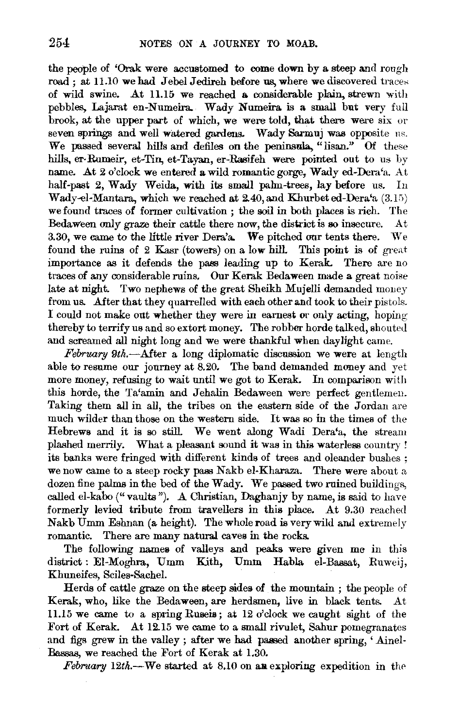the people of 'Orak were accustomed to come down by a steep and rough road ; at 11.10 we had Jebel Jedireh before us, where we discovered traces of wild swine. At 11.15 we reached a considerable plain, strewn with pebbles, Lajarat en-Numeira. Wady Numeira is a small but very full brook, at the upper part of which, we were told, that there were six or seven springs and well watered gardens. Wady Sarmuj was opposite us. We passed several hills and defiles on the peninsula, "lisan." Of these hills, er-Rumeir, et-Tin, et-Tayan, er-Rasifeh were pointed out to us by name. At 2 o'clock we entered a wild romantic gorge, Wady ed-Dera'a. At half-past 2, Wady Weida, with its small palm-trees, lay before us. In Wady-el-Mantara, which we reached at  $2.40$ , and K.hurbet ed-Dera'a  $(3.15)$ we found traces of former cultivation; the soil in both places is rich. The Bedaween only graze their cattle there now, the district is so insecure. At 3.30, we came to the little river Dera'a. We pitched our tents there. We found the ruins of 2 Kasr (towers) on a low hill. This point is of great importance as it defends the pass leading up to Kerak. There are no traces of any considerable ruins, Our Kerak Bedaween made a great noise late at night. Two nephews of the great Sheikh Mujelli demanded money from us. After that they quarrelled with each other and took to their pistols. I could not make out whether they were in earnest or only acting, hoping thereby to terrify us and so extort money. The robber horde talked, shouted and screamed all night long and we were thankful when daylight came.

 $February 9th.$ -After a long diplomatic discussion we were at length able to resume our journey at 8.20. The band demanded money and yet more money, refusing to wait until we got to Kerak. In comparison with this horde, the Ta'amin and Jehalin Bedaween were perfect gentlemen. Taking them all in all, the tribes on the eastern side of the Jordan are much wilder than those on the western side. It was so in the times of the Hebrews and it is so still. We went along Wadi Dera'a, the stream plashed merrily. What a pleasant sound it was in this waterless country! its banks were fringed with different kinds of trees and oleander bushes ; we now came to a steep rocky pass Nakb el-Kharaza. There were about a dozen fine palms in the bed of the Wady. We passed two ruined buildings, called el-kabo ("vaults"). A Christian, Daghanjy by name, is said to have formerly levied tribute from travellers in this place. At 9.30 reached Nakb Umm Eshnan (a height). The whole road is very wild and extremely romantic. There are many natural caves in the rocks.

The following names of valleys and peaks were given me in this district: El-Moghra, Umm Kith, Umm Habla el-Bassat, Ruweij, Khuneifes, Sciles-Sachel.

Herds of cattle graze on the steep sides of the mountain ; the people of Kerak, who, like the Bedaween, are herdsmen, live in black tents. At 11.15 we came to a spring Ruseis; at  $12$  o'clock we caught sight of the Fort of Kerak. At 12.15 we came to a small rivulet, Sahur pomegranates and figs grew in the valley; after we had passed another spring, 'Ainel-Bassas, we reached the Fort of Kerak at 1.30.

*February* 12th.-We started at 8.10 on an exploring expedition in the